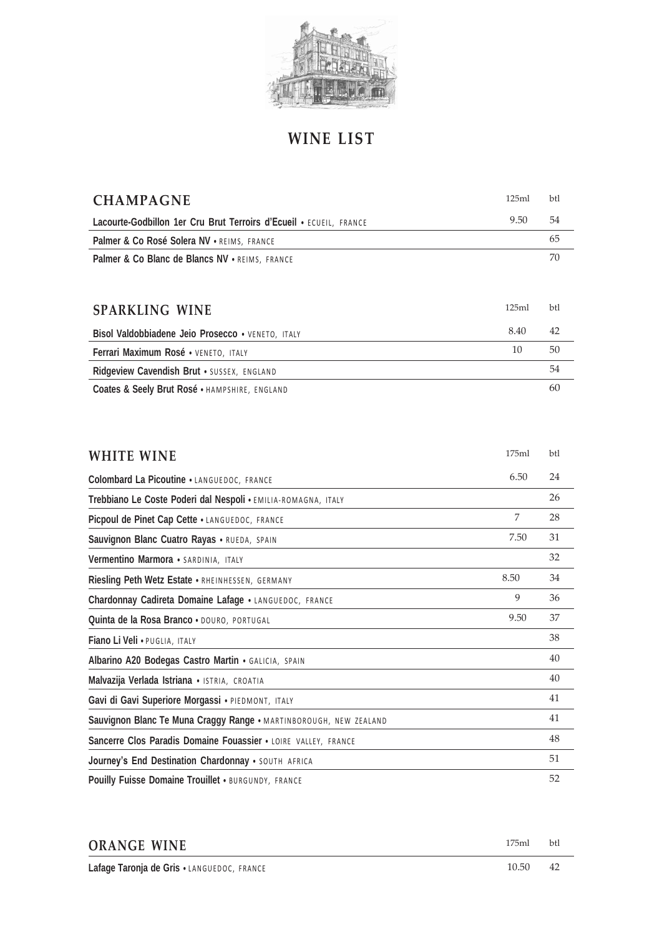

## **WINE LIST**

| <b>CHAMPAGNE</b>                                                   | 125ml | btl |
|--------------------------------------------------------------------|-------|-----|
| Lacourte-Godbillon 1er Cru Brut Terroirs d'Ecueil • ECUEIL, FRANCE | 9.50  | 54  |
| Palmer & Co Rosé Solera NV • REIMS, FRANCE                         |       | 65  |
| Palmer & Co Blanc de Blancs NV . REIMS, FRANCE                     |       | 70  |
|                                                                    |       |     |
| <b>SPARKLING WINE</b>                                              | 125ml | btl |
| Bisol Valdobbiadene Jeio Prosecco • VENETO, ITALY                  | 8.40  | 42  |
| Ferrari Maximum Rosé · VENETO, ITALY                               | 10    | 50  |
| Ridgeview Cavendish Brut . SUSSEX, ENGLAND                         |       | 54  |
| Coates & Seely Brut Rosé . HAMPSHIRE, ENGLAND                      |       | 60  |

| <b>WHITE WINE</b>                                                 | 175ml | btl |
|-------------------------------------------------------------------|-------|-----|
| Colombard La Picoutine . LANGUEDOC, FRANCE                        | 6.50  | 24  |
| Trebbiano Le Coste Poderi dal Nespoli · EMILIA-ROMAGNA, ITALY     |       | 26  |
| Picpoul de Pinet Cap Cette . LANGUEDOC, FRANCE                    | 7     | 28  |
| Sauvignon Blanc Cuatro Rayas . RUEDA, SPAIN                       | 7.50  | 31  |
| Vermentino Marmora · SARDINIA, ITALY                              |       | 32  |
| Riesling Peth Wetz Estate • RHEINHESSEN, GERMANY                  | 8.50  | 34  |
| Chardonnay Cadireta Domaine Lafage . LANGUEDOC, FRANCE            | 9     | 36  |
| Quinta de la Rosa Branco · DOURO, PORTUGAL                        | 9.50  | 37  |
| Fiano Li Veli · PUGLIA, ITALY                                     |       | 38  |
| Albarino A20 Bodegas Castro Martin . GALICIA, SPAIN               |       | 40  |
| Malvazija Verlada Istriana · ISTRIA, CROATIA                      |       | 40  |
| Gavi di Gavi Superiore Morgassi · PIEDMONT, ITALY                 |       | 41  |
| Sauvignon Blanc Te Muna Craggy Range · MARTINBOROUGH, NEW ZEALAND |       | 41  |
| Sancerre Clos Paradis Domaine Fouassier . LOIRE VALLEY, FRANCE    |       | 48  |
| Journey's End Destination Chardonnay . SOUTH AFRICA               |       | 51  |
| Pouilly Fuisse Domaine Trouillet . BURGUNDY, FRANCE               |       | 52  |

| <b>ORANGE WINE</b>                         | 175ml | <b>b</b> tl |
|--------------------------------------------|-------|-------------|
| Lafage Taronja de Gris . LANGUEDOC, FRANCE | 10.50 | 42          |